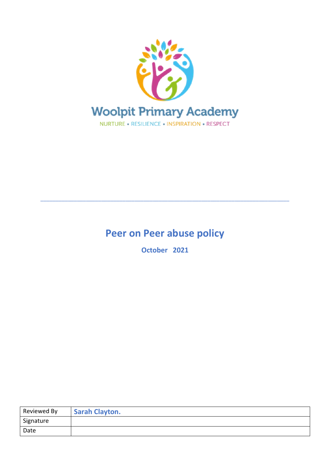

# **Peer on Peer abuse policy**

\_\_\_\_\_\_\_\_\_\_\_\_\_\_\_\_\_\_\_\_\_\_\_\_\_\_\_\_\_\_\_\_\_\_\_\_\_\_\_\_\_\_\_\_\_\_\_\_\_\_\_\_\_\_\_\_\_\_\_\_\_\_\_\_\_\_\_\_\_\_\_\_\_\_\_\_\_\_\_\_\_\_

**October 2021**

| Reviewed By | <b>Sarah Clayton.</b> |
|-------------|-----------------------|
| Signature   |                       |
| Date        |                       |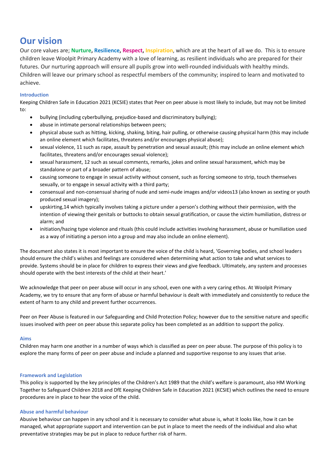# **Our vision**

Our core values are; **Nurture, Resilience, Respect, Inspiration**, which are at the heart of all we do. This is to ensure children leave Woolpit Primary Academy with a love of learning, as resilient individuals who are prepared for their futures. Our nurturing approach will ensure all pupils grow into well-rounded individuals with healthy minds. Children will leave our primary school as respectful members of the community; inspired to learn and motivated to achieve.

# **Introduction**

Keeping Children Safe in Education 2021 (KCSIE) states that Peer on peer abuse is most likely to include, but may not be limited to:

- bullying (including cyberbullying, prejudice-based and discriminatory bullying);
- abuse in intimate personal relationships between peers;
- physical abuse such as hitting, kicking, shaking, biting, hair pulling, or otherwise causing physical harm (this may include an online element which facilitates, threatens and/or encourages physical abuse);
- sexual violence, 11 such as rape, assault by penetration and sexual assault; (this may include an online element which facilitates, threatens and/or encourages sexual violence);
- sexual harassment, 12 such as sexual comments, remarks, jokes and online sexual harassment, which may be standalone or part of a broader pattern of abuse;
- causing someone to engage in sexual activity without consent, such as forcing someone to strip, touch themselves sexually, or to engage in sexual activity with a third party;
- consensual and non-consensual sharing of nude and semi-nude images and/or videos13 (also known as sexting or youth produced sexual imagery);
- upskirting,14 which typically involves taking a picture under a person's clothing without their permission, with the intention of viewing their genitals or buttocks to obtain sexual gratification, or cause the victim humiliation, distress or alarm; and
- initiation/hazing type violence and rituals (this could include activities involving harassment, abuse or humiliation used as a way of initiating a person into a group and may also include an online element).

The document also states it is most important to ensure the voice of the child is heard, 'Governing bodies, and school leaders should ensure the child's wishes and feelings are considered when determining what action to take and what services to provide. Systems should be in place for children to express their views and give feedback. Ultimately, any system and processes should operate with the best interests of the child at their heart.'

We acknowledge that peer on peer abuse will occur in any school, even one with a very caring ethos. At Woolpit Primary Academy, we try to ensure that any form of abuse or harmful behaviour is dealt with immediately and consistently to reduce the extent of harm to any child and prevent further occurrences.

Peer on Peer Abuse is featured in our Safeguarding and Child Protection Policy; however due to the sensitive nature and specific issues involved with peer on peer abuse this separate policy has been completed as an addition to support the policy.

# **Aims**

Children may harm one another in a number of ways which is classified as peer on peer abuse. The purpose of this policy is to explore the many forms of peer on peer abuse and include a planned and supportive response to any issues that arise.

# **Framework and Legislation**

This policy is supported by the key principles of the Children's Act 1989 that the child's welfare is paramount, also HM Working Together to Safeguard Children 2018 and DfE Keeping Children Safe in Education 2021 (KCSIE) which outlines the need to ensure procedures are in place to hear the voice of the child.

# **Abuse and harmful behaviour**

Abusive behaviour can happen in any school and it is necessary to consider what abuse is, what it looks like, how it can be managed, what appropriate support and intervention can be put in place to meet the needs of the individual and also what preventative strategies may be put in place to reduce further risk of harm.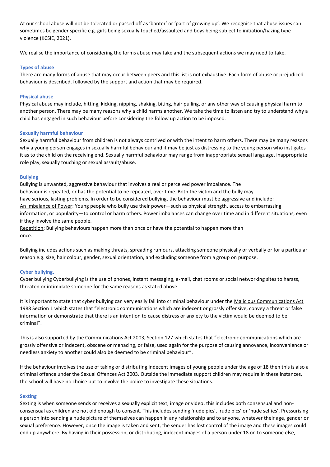At our school abuse will not be tolerated or passed off as 'banter' or 'part of growing up'. We recognise that abuse issues can sometimes be gender specific e.g. girls being sexually touched/assaulted and boys being subject to initiation/hazing type violence (KCSIE, 2021).

We realise the importance of considering the forms abuse may take and the subsequent actions we may need to take.

# **Types of abuse**

There are many forms of abuse that may occur between peers and this list is not exhaustive. Each form of abuse or prejudiced behaviour is described, followed by the support and action that may be required.

# **Physical abuse**

Physical abuse may include, hitting, kicking, nipping, shaking, biting, hair pulling, or any other way of causing physical harm to another person. There may be many reasons why a child harms another. We take the time to listen and try to understand why a child has engaged in such behaviour before considering the follow up action to be imposed.

# **Sexually harmful behaviour**

Sexually harmful behaviour from children is not always contrived or with the intent to harm others. There may be many reasons why a young person engages in sexually harmful behaviour and it may be just as distressing to the young person who instigates it as to the child on the receiving end. Sexually harmful behaviour may range from inappropriate sexual language, inappropriate role play, sexually touching or sexual assault/abuse.

# **Bullying**

Bullying is unwanted, aggressive behaviour that involves a real or perceived power imbalance. The behaviour is repeated, or has the potential to be repeated, over time. Both the victim and the bully may have serious, lasting problems. In order to be considered bullying, the behaviour must be aggressive and include: An Imbalance of Power: Young people who bully use their power—such as physical strength, access to embarrassing information, or popularity—to control or harm others. Power imbalances can change over time and in different situations, even if they involve the same people.

Repetition: Bullying behaviours happen more than once or have the potential to happen more than once.

Bullying includes actions such as making threats, spreading rumours, attacking someone physically or verbally or for a particular reason e.g. size, hair colour, gender, sexual orientation, and excluding someone from a group on purpose.

# **Cyber bullying.**

Cyber bullying Cyberbullying is the use of phones, instant messaging, e-mail, chat rooms or social networking sites to harass, threaten or intimidate someone for the same reasons as stated above.

It is important to state that cyber bullying can very easily fall into criminal behaviour under the Malicious Communications Act 1988 Section 1 which states that "electronic communications which are indecent or grossly offensive, convey a threat or false information or demonstrate that there is an intention to cause distress or anxiety to the victim would be deemed to be criminal".

This is also supported by the Communications Act 2003, Section 127 which states that "electronic communications which are grossly offensive or indecent, obscene or menacing, or false, used again for the purpose of causing annoyance, inconvenience or needless anxiety to another could also be deemed to be criminal behaviour".

If the behaviour involves the use of taking or distributing indecent images of young people under the age of 18 then this is also a criminal offence under the Sexual Offences Act 2003. Outside the immediate support children may require in these instances, the school will have no choice but to involve the police to investigate these situations.

# **Sexting**

Sexting is when someone sends or receives a sexually explicit text, image or video, this includes both consensual and nonconsensual as children are not old enough to consent. This includes sending 'nude pics', 'rude pics' or 'nude selfies'. Pressurising a person into sending a nude picture of themselves can happen in any relationship and to anyone, whatever their age, gender or sexual preference. However, once the image is taken and sent, the sender has lost control of the image and these images could end up anywhere. By having in their possession, or distributing, indecent images of a person under 18 on to someone else,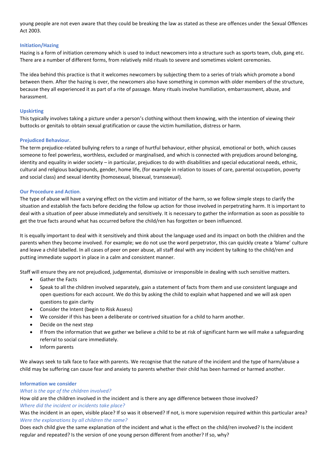young people are not even aware that they could be breaking the law as stated as these are offences under the Sexual Offences Act 2003.

# **Initiation/Hazing**

Hazing is a form of initiation ceremony which is used to induct newcomers into a structure such as sports team, club, gang etc. There are a number of different forms, from relatively mild rituals to severe and sometimes violent ceremonies.

The idea behind this practice is that it welcomes newcomers by subjecting them to a series of trials which promote a bond between them. After the hazing is over, the newcomers also have something in common with older members of the structure, because they all experienced it as part of a rite of passage. Many rituals involve humiliation, embarrassment, abuse, and harassment.

#### **Upskirting**

This typically involves taking a picture under a person's clothing without them knowing, with the intention of viewing their buttocks or genitals to obtain sexual gratification or cause the victim humiliation, distress or harm.

#### **Prejudiced Behaviour.**

The term prejudice-related bullying refers to a range of hurtful behaviour, either physical, emotional or both, which causes someone to feel powerless, worthless, excluded or marginalised, and which is connected with prejudices around belonging, identity and equality in wider society – in particular, prejudices to do with disabilities and special educational needs, ethnic, cultural and religious backgrounds, gender, home life, (for example in relation to issues of care, parental occupation, poverty and social class) and sexual identity (homosexual, bisexual, transsexual).

#### **Our Procedure and Action**.

The type of abuse will have a varying effect on the victim and initiator of the harm, so we follow simple steps to clarify the situation and establish the facts before deciding the follow up action for those involved in perpetrating harm. It is important to deal with a situation of peer abuse immediately and sensitively. It is necessary to gather the information as soon as possible to get the true facts around what has occurred before the child/ren has forgotten or been influenced.

It is equally important to deal with it sensitively and think about the language used and its impact on both the children and the parents when they become involved. For example; we do not use the word perpetrator, this can quickly create a 'blame' culture and leave a child labelled. In all cases of peer on peer abuse, all staff deal with any incident by talking to the child/ren and putting immediate support in place in a calm and consistent manner.

Staff will ensure they are not prejudiced, judgemental, dismissive or irresponsible in dealing with such sensitive matters.

- Gather the Facts
- Speak to all the children involved separately, gain a statement of facts from them and use consistent language and open questions for each account. We do this by asking the child to explain what happened and we will ask open questions to gain clarity
- Consider the Intent (begin to Risk Assess)
- We consider if this has been a deliberate or contrived situation for a child to harm another.
- Decide on the next step
- If from the information that we gather we believe a child to be at risk of significant harm we will make a safeguarding referral to social care immediately.
- Inform parents

We always seek to talk face to face with parents. We recognise that the nature of the incident and the type of harm/abuse a child may be suffering can cause fear and anxiety to parents whether their child has been harmed or harmed another.

# **Information we consider**

#### *What is the age of the children involved?*

How old are the children involved in the incident and is there any age difference between those involved? *Where did the incident or incidents take place?* 

Was the incident in an open, visible place? If so was it observed? If not, is more supervision required within this particular area? *Were the explanations by all children the same?*

Does each child give the same explanation of the incident and what is the effect on the child/ren involved? Is the incident regular and repeated? Is the version of one young person different from another? If so, why?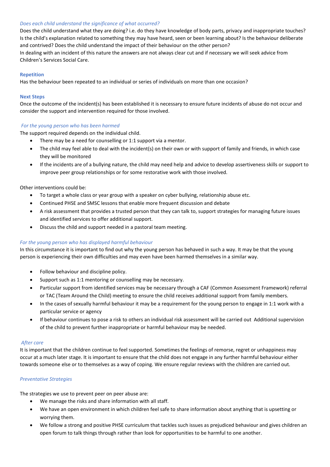# *Does each child understand the significance of what occurred?*

Does the child understand what they are doing? i.e. do they have knowledge of body parts, privacy and inappropriate touches? Is the child's explanation related to something they may have heard, seen or been learning about? Is the behaviour deliberate and contrived? Does the child understand the impact of their behaviour on the other person?

In dealing with an incident of this nature the answers are not always clear cut and if necessary we will seek advice from Children's Services Social Care.

# **Repetition**

Has the behaviour been repeated to an individual or series of individuals on more than one occasion?

# **Next Steps**

Once the outcome of the incident(s) has been established it is necessary to ensure future incidents of abuse do not occur and consider the support and intervention required for those involved.

# *For the young person who has been harmed*

The support required depends on the individual child.

- There may be a need for counselling or 1:1 support via a mentor.
- The child may feel able to deal with the incident(s) on their own or with support of family and friends, in which case they will be monitored
- If the incidents are of a bullying nature, the child may need help and advice to develop assertiveness skills or support to improve peer group relationships or for some restorative work with those involved.

# Other interventions could be:

- To target a whole class or year group with a speaker on cyber bullying, relationship abuse etc.
- Continued PHSE and SMSC lessons that enable more frequent discussion and debate
- A risk assessment that provides a trusted person that they can talk to, support strategies for managing future issues and identified services to offer additional support.
- Discuss the child and support needed in a pastoral team meeting.

# *For the young person who has displayed harmful behaviour*

In this circumstance it is important to find out why the young person has behaved in such a way. It may be that the young person is experiencing their own difficulties and may even have been harmed themselves in a similar way.

- Follow behaviour and discipline policy.
- Support such as 1:1 mentoring or counselling may be necessary.
- Particular support from identified services may be necessary through a CAF (Common Assessment Framework) referral or TAC (Team Around the Child) meeting to ensure the child receives additional support from family members.
- In the cases of sexually harmful behaviour it may be a requirement for the young person to engage in 1:1 work with a particular service or agency
- If behaviour continues to pose a risk to others an individual risk assessment will be carried out Additional supervision of the child to prevent further inappropriate or harmful behaviour may be needed.

# *After care*

It is important that the children continue to feel supported. Sometimes the feelings of remorse, regret or unhappiness may occur at a much later stage. It is important to ensure that the child does not engage in any further harmful behaviour either towards someone else or to themselves as a way of coping. We ensure regular reviews with the children are carried out.

# *Preventative Strategies*

The strategies we use to prevent peer on peer abuse are:

- We manage the risks and share information with all staff.
- We have an open environment in which children feel safe to share information about anything that is upsetting or worrying them.
- We follow a strong and positive PHSE curriculum that tackles such issues as prejudiced behaviour and gives children an open forum to talk things through rather than look for opportunities to be harmful to one another.